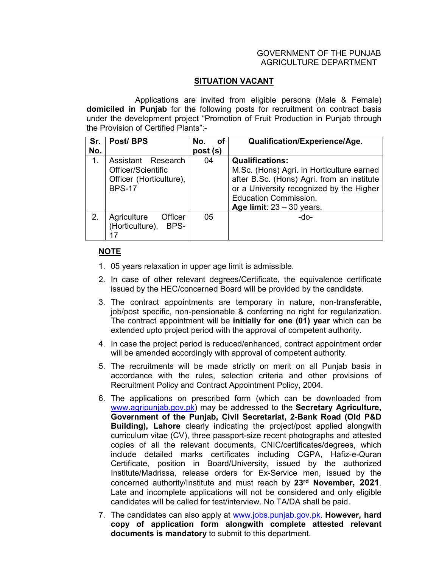## GOVERNMENT OF THE PUNJAB AGRICULTURE DEPARTMENT

## **SITUATION VACANT**

 Applications are invited from eligible persons (Male & Female) **domiciled in Punjab** for the following posts for recruitment on contract basis under the development project "Promotion of Fruit Production in Punjab through the Provision of Certified Plants":-

| Sr. | <b>Post/BPS</b>                                                                      | No.<br>οf | Qualification/Experience/Age.                                                                                                                                                                                                |
|-----|--------------------------------------------------------------------------------------|-----------|------------------------------------------------------------------------------------------------------------------------------------------------------------------------------------------------------------------------------|
| No. |                                                                                      | post (s)  |                                                                                                                                                                                                                              |
| 1.  | Assistant Research<br>Officer/Scientific<br>Officer (Horticulture),<br><b>BPS-17</b> | 04        | <b>Qualifications:</b><br>M.Sc. (Hons) Agri. in Horticulture earned<br>after B.Sc. (Hons) Agri. from an institute<br>or a University recognized by the Higher<br><b>Education Commission.</b><br>Age limit: $23 - 30$ years. |
| 2.  | Agriculture<br>Officer<br>(Horticulture),<br>BPS-                                    | 05        | -do-                                                                                                                                                                                                                         |

## **NOTE**

- 1. 05 years relaxation in upper age limit is admissible.
- 2. In case of other relevant degrees/Certificate, the equivalence certificate issued by the HEC/concerned Board will be provided by the candidate.
- 3. The contract appointments are temporary in nature, non-transferable, job/post specific, non-pensionable & conferring no right for regularization. The contract appointment will be **initially for one (01) year** which can be extended upto project period with the approval of competent authority.
- 4. In case the project period is reduced/enhanced, contract appointment order will be amended accordingly with approval of competent authority.
- 5. The recruitments will be made strictly on merit on all Punjab basis in accordance with the rules, selection criteria and other provisions of Recruitment Policy and Contract Appointment Policy, 2004.
- 6. The applications on prescribed form (which can be downloaded from www.agripunjab.gov.pk) may be addressed to the **Secretary Agriculture, Government of the Punjab, Civil Secretariat, 2-Bank Road (Old P&D Building), Lahore** clearly indicating the project/post applied alongwith curriculum vitae (CV), three passport-size recent photographs and attested copies of all the relevant documents, CNIC/certificates/degrees, which include detailed marks certificates including CGPA, Hafiz-e-Quran Certificate, position in Board/University, issued by the authorized Institute/Madrissa, release orders for Ex-Service men, issued by the concerned authority/Institute and must reach by **23rd November, 2021**. Late and incomplete applications will not be considered and only eligible candidates will be called for test/interview. No TA/DA shall be paid.
- 7. The candidates can also apply at www.jobs.punjab.gov.pk. **However, hard copy of application form alongwith complete attested relevant documents is mandatory** to submit to this department.